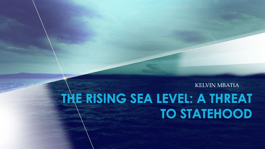KELVIN MBATIA

# THE RISING SEA LEVEL: A THREAT **TO STATEHOOD**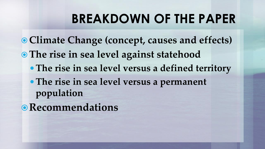## **BREAKDOWN OF THE PAPER**

 **Climate Change (concept, causes and effects) The rise in sea level against statehood The rise in sea level versus a defined territory The rise in sea level versus a permanent population**

**Recommendations**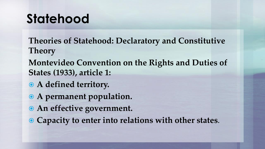## **Statehood**

**Theories of Statehood: Declaratory and Constitutive Theory**

**Montevideo Convention on the Rights and Duties of States (1933), article 1:**

- **A defined territory.**
- **A permanent population.**
- **An effective government.**
- **Capacity to enter into relations with other states**.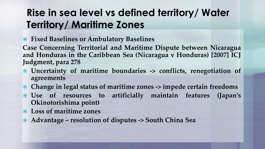### **Rise in sea level vs defined territory/ Water Territory/ Maritime Zones**

**Fixed Baselines or Ambulatory Baselines**

**Case Concerning Territorial and Maritime Dispute between Nicaragua and Honduras in the Caribbean Sea (Nicaragua v Honduras) [2007] ICJ Judgment, para 278**

- **Uncertainty of maritime boundaries -> conflicts, renegotiation of agreements**
- **Change in legal status of maritime zones -> impede certain freedoms**
- **Use of resources to artificially maintain features (Japan's Okinotorishima point)**
- **Loss of maritime zones**
- **Advantage – resolution of disputes -> South China Sea**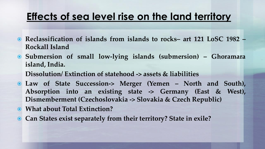#### **Effects of sea level rise on the land territory**

- **Reclassification of islands from islands to rocks– art 121 LoSC 1982 – Rockall Island**
- **Submersion of small low-lying islands (submersion) – Ghoramara island, India.**

**Dissolution/ Extinction of statehood -> assets & liabilities**

- **Law of State Succession-> Merger (Yemen – North and South), Absorption into an existing state -> Germany (East & West), Dismemberment (Czechoslovakia -> Slovakia & Czech Republic)**
- **What about Total Extinction?**
- **Can States exist separately from their territory? State in exile?**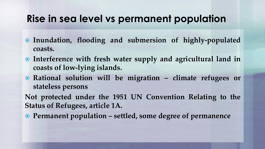#### **Rise in sea level vs permanent population**

- **Inundation, flooding and submersion of highly-populated coasts.**
- **Interference with fresh water supply and agricultural land in coasts of low-lying islands.**
- **Rational solution will be migration – climate refugees or stateless persons**

**Not protected under the 1951 UN Convention Relating to the Status of Refugees, article 1A.**

**Permanent population – settled, some degree of permanence**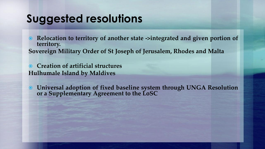## **Suggested resolutions**

 **Relocation to territory of another state ->integrated and given portion of territory. Sovereign Military Order of St Joseph of Jerusalem, Rhodes and Malta**

 **Creation of artificial structures Hulhumale Island by Maldives**

 **Universal adoption of fixed baseline system through UNGA Resolution or a Supplementary Agreement to the LoSC**